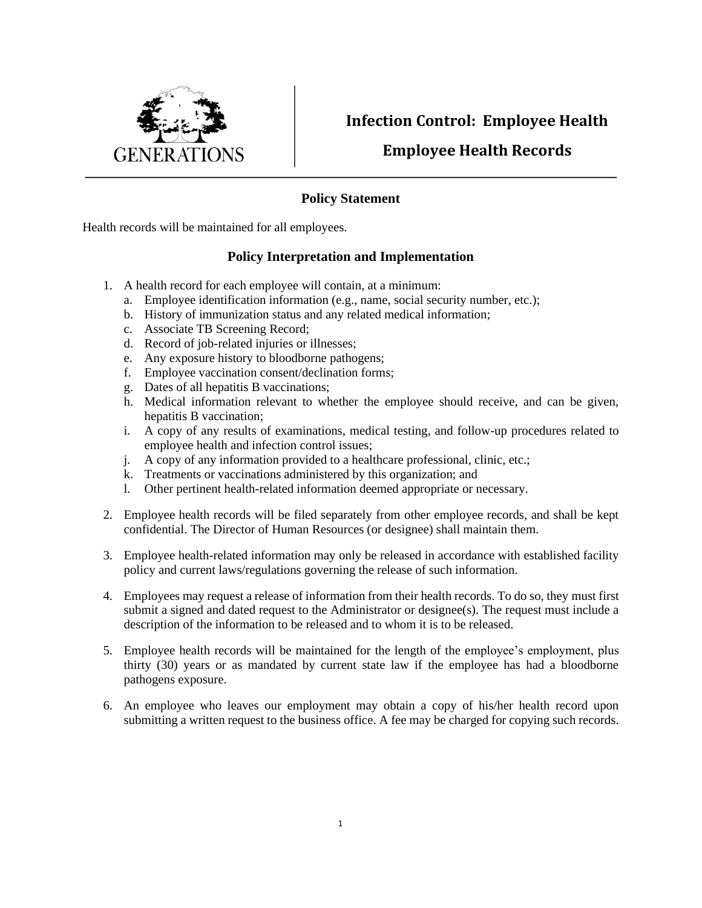

## **Infection Control: Employee Health**

## **Employee Health Records**

## **Policy Statement**

Health records will be maintained for all employees.

## **Policy Interpretation and Implementation**

- 1. A health record for each employee will contain, at a minimum:
	- a. Employee identification information (e.g., name, social security number, etc.);
	- b. History of immunization status and any related medical information;
	- c. Associate TB Screening Record;
	- d. Record of job-related injuries or illnesses;
	- e. Any exposure history to bloodborne pathogens;
	- f. Employee vaccination consent/declination forms;
	- g. Dates of all hepatitis B vaccinations;
	- h. Medical information relevant to whether the employee should receive, and can be given, hepatitis B vaccination;
	- i. A copy of any results of examinations, medical testing, and follow-up procedures related to employee health and infection control issues;
	- j. A copy of any information provided to a healthcare professional, clinic, etc.;
	- k. Treatments or vaccinations administered by this organization; and
	- l. Other pertinent health-related information deemed appropriate or necessary.
- 2. Employee health records will be filed separately from other employee records, and shall be kept confidential. The Director of Human Resources (or designee) shall maintain them.
- 3. Employee health-related information may only be released in accordance with established facility policy and current laws/regulations governing the release of such information.
- 4. Employees may request a release of information from their health records. To do so, they must first submit a signed and dated request to the Administrator or designee(s). The request must include a description of the information to be released and to whom it is to be released.
- 5. Employee health records will be maintained for the length of the employee's employment, plus thirty (30) years or as mandated by current state law if the employee has had a bloodborne pathogens exposure.
- 6. An employee who leaves our employment may obtain a copy of his/her health record upon submitting a written request to the business office. A fee may be charged for copying such records.